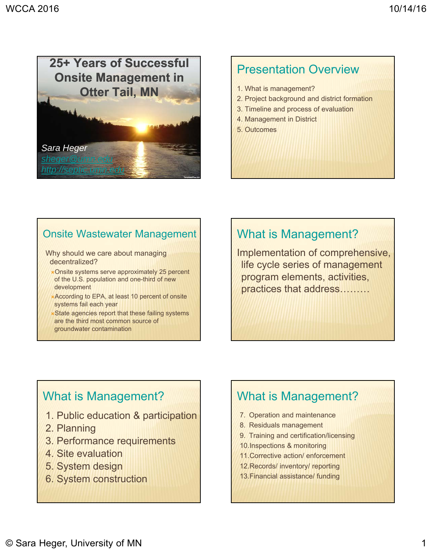

#### Presentation Overview

- 1. What is management?
- 2. Project background and district formation
- 3. Timeline and process of evaluation
- 4. Management in District
- 5. Outcomes

#### Onsite Wastewater Management

Why should we care about managing decentralized?

- Onsite systems serve approximately 25 percent of the U.S. population and one-third of new development
- According to EPA, at least 10 percent of onsite systems fail each year
- **x** State agencies report that these failing systems are the third most common source of groundwater contamination

#### What is Management?

Implementation of comprehensive, life cycle series of management program elements, activities, practices that address………

#### What is Management?

- 1. Public education & participation
- 2. Planning
- 3. Performance requirements
- 4. Site evaluation
- 5. System design
- 6. System construction

#### What is Management?

- 7. Operation and maintenance
- 8. Residuals management
- 9. Training and certification/licensing
- 10.Inspections & monitoring
- 11.Corrective action/ enforcement
- 12.Records/ inventory/ reporting
- 13.Financial assistance/ funding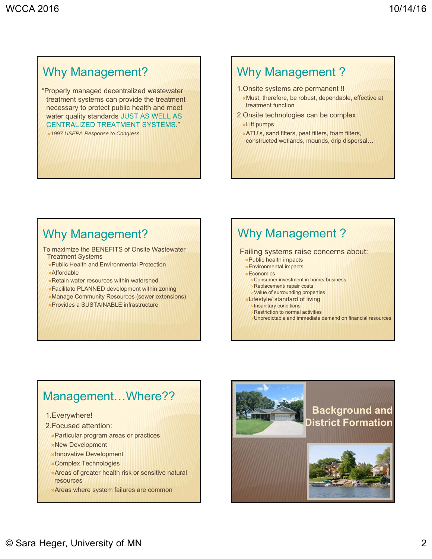### Why Management?

"Properly managed decentralized wastewater treatment systems can provide the treatment necessary to protect public health and meet water quality standards JUST AS WELL AS CENTRALIZED TREATMENT SYSTEMS."

*1997 USEPA Response to Congress*

#### Why Management ?

- 1.Onsite systems are permanent !! Must, therefore, be robust, dependable, effective at treatment function
- 2.Onsite technologies can be complex Lift pumps
- ATU's, sand filters, peat filters, foam filters,
	- constructed wetlands, mounds, drip dispersal…

#### Why Management?

To maximize the BENEFITS of Onsite Wastewater Treatment Systems

- Public Health and Environmental Protection
- Affordable
- Retain water resources within watershed
- Facilitate PLANNED development within zoning
- Manage Community Resources (sewer extensions)
- Provides a SUSTAINABLE infrastructure

#### Why Management ?

#### Failing systems raise concerns about:

- Public health impacts
- Environmental impacts
- **\*Economics** 
	- Consumer investment in home/ business Replacement/ repair costs
	- Value of surrounding properties
- Lifestyle/ standard of living
	- Insanitary conditions Restriction to normal activities
	- Unpredictable and immediate demand on financial resources

#### Management…Where??

- 1.Everywhere!
- 2.Focused attention:
	- Particular program areas or practices
	- New Development
	- Innovative Development
	- Complex Technologies
	- Areas of greater health risk or sensitive natural resources
	- Areas where system failures are common

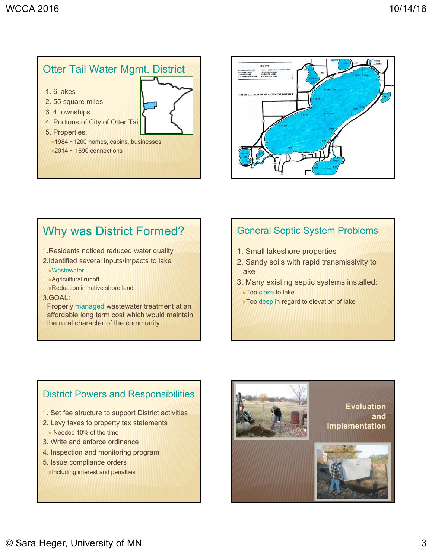



#### Why was District Formed?

- 1.Residents noticed reduced water quality
- 2.Identified several inputs/impacts to lake Wastewater
	- Agricultural runoff
	- **x** Reduction in native shore land
- 3.GOAL:

Properly managed wastewater treatment at an affordable long term cost which would maintain the rural character of the community

#### General Septic System Problems

- 1. Small lakeshore properties
- 2. Sandy soils with rapid transmissivity to lake
- 3. Many existing septic systems installed: **xToo close to lake** 
	- Too deep in regard to elevation of lake

#### District Powers and Responsibilities

- 1. Set fee structure to support District activities
- 2. Levy taxes to property tax statements **x** Needed 10% of the time
- 3. Write and enforce ordinance
- 4. Inspection and monitoring program
- 5. Issue compliance orders Including interest and penalties

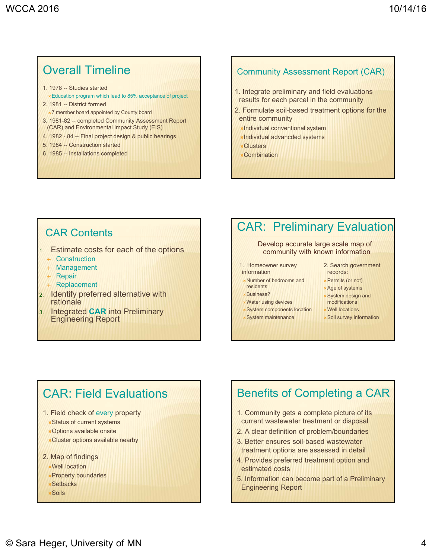#### Overall Timeline

- 1. 1978 -- Studies started
- Education program which lead to 85% acceptance of project
- 2. 1981 -- District formed
- 7 member board appointed by County board
- 3. 1981-82 -- completed Community Assessment Report (CAR) and Environmental Impact Study (EIS)
- 4. 1982 84 -- Final project design & public hearings
- 5. 1984 -- Construction started
- 6. 1985 -- Installations completed

#### Community Assessment Report (CAR)

- 1. Integrate preliminary and field evaluations results for each parcel in the community
- 2. Formulate soil-based treatment options for the entire community
	- Individual conventional system
	- Individual advancded systems
	- Clusters
	- Combination

- 1. Estimate costs for each of the options
	- + Construction
	- + Management
	- + Repair
	- + Replacement
- 2. Identify preferred alternative with rationale
- 3. Integrated **CAR** into Preliminary Engineering Report

# CAR: Preliminary Evaluation

#### Develop accurate large scale map of community with known information

- 1. Homeowner survey information
- Number of bedrooms and residents
- Business?
- Water using devices
- System components location
- System maintenance
- 2. Search government records:
- Permits (or not)
- Age of systems
- System design and
- modifications Well locations
- - Soil survey information

### CAR: Field Evaluations

- 1. Field check of every property
	- Status of current systems
	- Options available onsite
	- Cluster options available nearby
- 2. Map of findings
	- Well location
	- *<u><b>xProperty boundaries</u>*
	- Setbacks
	- Soils

#### Benefits of Completing a CAR

- 1. Community gets a complete picture of its current wastewater treatment or disposal
- 2. A clear definition of problem/boundaries
- 3. Better ensures soil-based wastewater treatment options are assessed in detail
- 4. Provides preferred treatment option and estimated costs
- 5. Information can become part of a Preliminary Engineering Report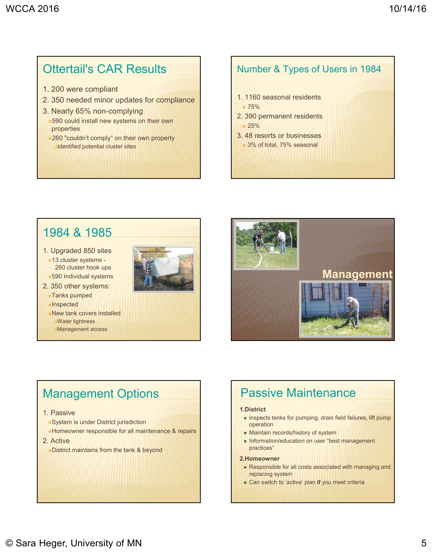# Ottertail's CAR Results

- 1. 200 were compliant
- 2. 350 needed minor updates for compliance
- 3. Nearly 65% non-complying
- $\times$ **590 could install new systems on their own** properties
- **260 "couldn't comply" on their own property Identified potential cluster sites**

#### Number & Types of Users in 1984

- 1. 1160 seasonal residents  $\times 75%$
- 2. 390 permanent residents  $\times 25\%$
- 3. 48 resorts or businesses 3% of total, 75% seasonal

### 1984 & 1985

- 1. Upgraded 850 sites 13 cluster systems -
- 260 cluster hook ups 590 Individual systems
- 2. 350 other systems:
	- Tanks pumped
	- **x**Inspected
	- New tank covers installed Water tightness Management access



### Management Options

#### 1. Passive

- System is under District jurisdiction
- Homeowner responsible for all maintenance & repairs
- 2. Active

District maintains from the tank & beyond

#### Passive Maintenance

#### **1.District**

- **\*** inspects tanks for pumping, drain field failures, lift pump operation
- **\*** Maintain records/history of system
- **\* Information/education on user "best management** practices"

#### **2.Homeowner**

- Responsible for all costs associated with managing and replacing system
- Can switch to 'active' plan **if** you meet criteria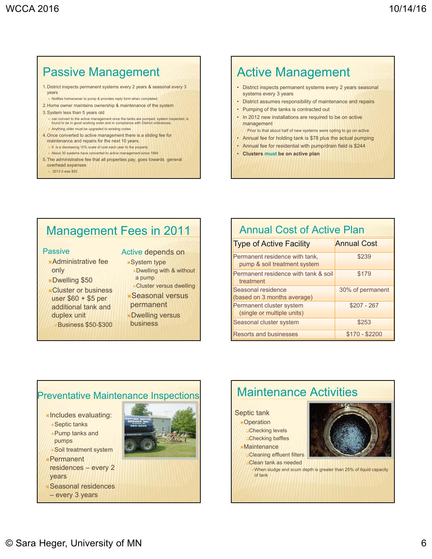## Passive Management

- 1.District inspects permanent systems every 2 years & seasonal every 3 years
- Notifies homeowner to pump & provides reply form when completed 2.Home owner maintains ownership & maintenance of the system
- 3.System less than 5 years old
- 
- can convert to the active management once the tanks are pumped, system inspected, is found to be in good working order and in compliance with District ordinances. Anything older must be upgraded to existing codes
- 4.Once converted to active management there is a sliding fee for maintenance and repairs for the next 10 years.
- It is a decreasing 10% scale of cost each year to the property About 30 systems have converted to active management since 1984
- 5.The administrative fee that all properties pay, goes towards general overhead expenses
- 2013 it was \$50

# Active Management

- District inspects permanent systems every 2 years seasonal systems every 3 years
- District assumes responsibility of maintenance and repairs
- Pumping of the tanks is contracted out
- In 2012 new installations are required to be on active management
- Prior to that about half of new systems were opting to go on active
- Annual fee for holding tank is \$78 plus the actual pumping
- Annual fee for residential with pump/drain field is \$244 • **Clusters must be on active plan**

# Management Fees in 2011

#### Passive

#### Active depends on

Dwelling with & without

**x**System type

- Administrative fee only
- Dwelling \$50
- Cluster or business user \$60 + \$5 per additional tank and duplex unit Business \$50-\$300
- a pump Cluster versus dwelling Seasonal versus
- permanent
- Dwelling versus business
	-

#### Annual Cost of Active Plan Type of Active Facility **Annual Cost** Permanent residence with tank, pump & soil treatment system \$239 Permanent residence with tank & soil treatment \$179 Seasonal residence (based on 3 months average) 30% of permanent Permanent cluster system (single or multiple units) \$207 - 267 Seasonal cluster system **\$253** Resorts and businesses **\$170 - \$2200**

# Preventative Maintenance Inspections

**xincludes evaluating:** 

- Septic tanks
- Pump tanks and pumps
- Soil treatment system
- Permanent residences – every 2
- years
- Seasonal residences – every 3 years





When sludge and scum depth is greater than 25% of liquid capacity of tank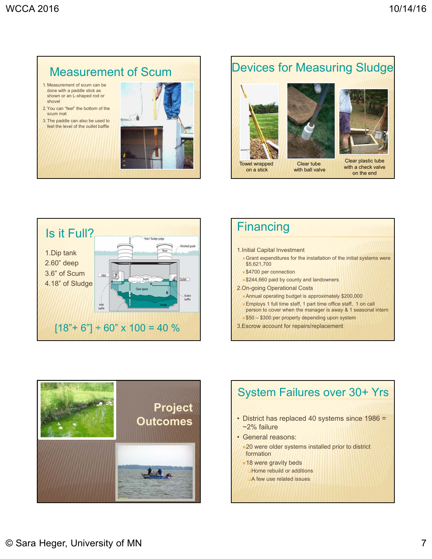# Measurement of Scum

- 1.Measurement of scum can be done with a paddle stick as shown or an L-shaped rod or shovel
- 2.You can "feel" the bottom of the scum mat
- 3.The paddle can also be used to feel the level of the outlet baffle



### Devices for Measuring Sludge





with ball valve



Clear plastic tube with a check valve on the end







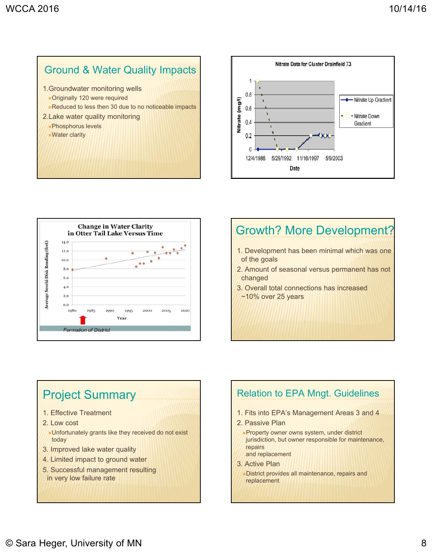#### Ground & Water Quality Impacts

- 1.Groundwater monitoring wells
- Originally 120 were required **x** Reduced to less then 30 due to no noticeable impacts
- 2.Lake water quality monitoring Phosphorus levels Water clarity





#### Growth? More Development?

- 1. Development has been minimal which was one of the goals
- 2. Amount of seasonal versus permanent has not changed
- 3. Overall total connections has increased ~10% over 25 years

### Project Summary

- 1. Effective Treatment
- 2. Low cost
- Unfortunately grants like they received do not exist today
- 3. Improved lake water quality
- 4. Limited impact to ground water
- 5. Successful management resulting in very low failure rate

#### Relation to EPA Mngt. Guidelines 1. Fits into EPA's Management Areas 3 and 4 2. Passive Plan *<b>\*Property owner owns system, under district* jurisdiction, but owner responsible for maintenance, repairs and replacement 3. Active Plan

District provides all maintenance, repairs and replacement